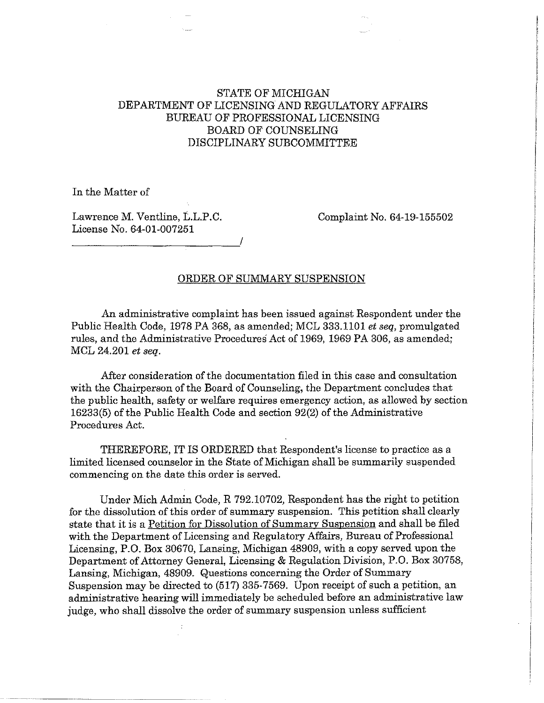# STATE OF MICHIGAN DEPARTMENT OF LICENSING AND REGULATORY AFFAIRS BUREAU OF PROFESSIONAL LICENSING BOARD OF COUNSELING DISCIPLINARY SUBCOMMITTEE

In the Matter of

Lawrence M. Ventline, L.L.P.C. Complaint No. 64-19-155502 License No. 64-01-007251 *\_\_\_\_\_\_\_\_\_\_\_\_ \_\_,!* 

### ORDER OF SUMMARY SUSPENSION

An administrative complaint has been issued against Respondent under the Public Health Code, 1978 PA 368, as amended; MCL 333.1101 *et seq,* promulgated rules, and the Administrative Procedures Act of 1969, 1969 PA 306, as amended; MCL 24.201 *et seq.* 

After consideration of the documentation filed in this case and consultation with the Chairperson of the Board of Counseling, the Department concludes that the public health, safety or welfare requires emergency action, as allowed by section 16233(5) of the Public Health Code and section 92(2) of the Administrative Procedures Act.

THEREFORE, IT IS ORDERED that Respondent's license to practice as a limited licensed counselor in the State of Michigan shall be summarily suspended commencing on the date this order is served.

Under Mich Admin Code, R 792.10702, Respondent has the right to petition for the dissolution of this order of summary suspension. This petition shall clearly state that it is a Petition for Dissolution of Summary Suspension and shall be filed with the Department of Licensing and Regulatory Affairs, Bureau of Professional Licensing, P.O. Box 30670, Lansing, Michigan 48909, with a copy served upon the Department of Attorney General, Licensing & Regulation Division, P.O. Box 30758, Lansing, Michigan, 48909. Questions concerning the Order of Summary Suspension may be directed to (517) 335-7569. Upon receipt of such a petition, an administrative hearing will immediately be scheduled before an administrative law judge, who shall dissolve the order of summary suspension unless sufficient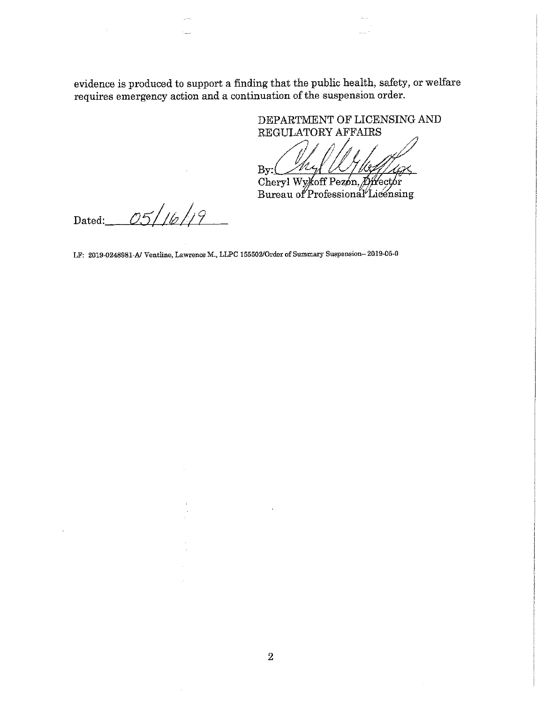evidence is produced to support a finding that the public health, safety, or welfare requires emergency action and a continuation of the suspension order.

> DEPARTMENT OF LICENSING AND REGULATORY AFFAIRS

Myl  $By($ Cheryl Wykoff Pezón, Director

Bureau of Professional Licensing

Dated:  $0.5/16/19$ 

**LF: 2019-0248981-A/ Ventline, Lawrence** M., **LLPC 155502/O.rder of Summary Suspension-2019-05-0**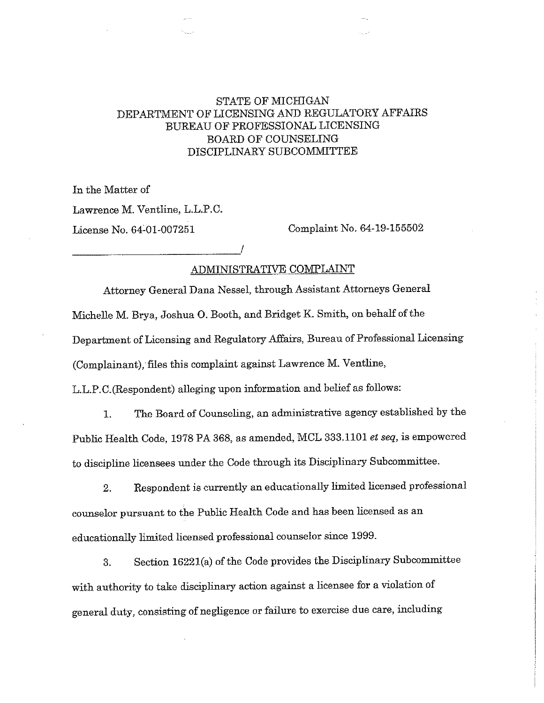# STATE OF MICHIGAN DEPARTMENT OF LICENSING AND REGULATORY AFFAIRS BUREAU OF PROFESSIONAL LICENSING BOARD OF COUNSELING DISCIPLINARY SUBCOMMITTEE

In the Matter of Lawrence M. Ventline, L.L.P.C. License No. 64:01-007251 Complaint No. 64-19-155502 ------------~/

# ADMINISTRATIVE COMPLAINT

Attorney General Dana Nessel, through Assistant Attorneys General Michelle M. Brya, Joshua 0. Booth, and Bridget K. Smith, on behalf of the Department of Licensing and Regulatory Affairs, Bureau of Professional Licensing (Complainant), files this complaint against Lawrence M. Ventline, L.L.P.C.(Respondent) alleging upon information and belief as follows:

1. The Board of Counseling, an administrative agency established by the Public Health Code, 1978 PA 368, as amended, MCL 333.1101 *et seq,* is empowered to discipline licensees under the Code through its Disciplinary Subcommittee.

2. Respondent is currently an educationally limited licensed professional counselor pursuant to the Public Health Code and has been licensed as an educationally limited licensed professional counselor since 1999.

3. Section 1622l(a) of the Code provides the Disciplinary Subcommittee with authority to take disciplinary action against a licensee for a violation of general duty, consisting of negligence or failure to exercise due care, including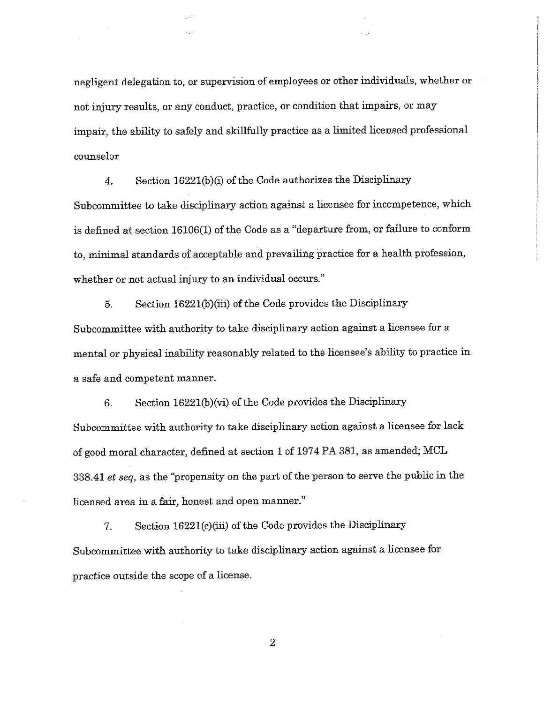negligent delegation to, or supervision of employees or other individuals, whether or not injury results, or any conduct, practice, or condition that impairs, or may impair, the ability to safely and skillfully practice as a limited licensed professional counselor

4. Section 16221(b)(i) of the Code authorizes the Disciplinary Subcommittee to take disciplinary action against a licensee for incompetence, which is defined at section 16106(1) of the Code as a "departure from, or failure to conform to, minimal standards of acceptable and prevailing practice for a health profession, whether or not actual injury to an individual occurs."

5. Section 1622l(b)(iii) of the Code provides the Disciplinary Subcommittee with authority to take disciplinary action against a licensee for a mental or physical inability reasonably related to the licensee's ability to practice in a safe and competent manner.

6. Section 16221(b)(vi) of the Code provides the Disciplinary Subcommittee with authority to take disciplinary action against a licensee for lack of good moral character, defined at section 1 of 1974 PA 381, as amended; MCL 338.41 *et seq,* as the "propensity on the part of the person to serve the public in the licensed area in a fair, honest and open manner."

7. Section 1622l(c)(iii) of the Code provides the Disciplinary Subcommittee with authority to take disciplinary action against a licensee for practice outside the scope of a license.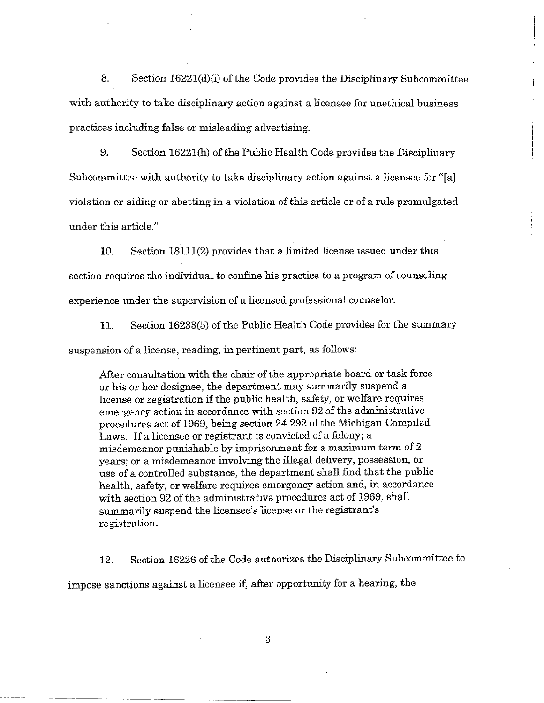8. Section 16221(d)(i) of the Code provides the Disciplinary Subcommittee with authority to take disciplinary action against a licensee for unethical business practices including false or misleading advertising.

9. Section 16221(h) of the Public Health Code provides the Disciplinary Subcommittee with authority to take disciplinary action against a licensee for "[a] violation or aiding or abetting in a violation of this article or of a rule promulgated under this article."

10. Section 18111(2) provides that a limited license issued under this section requires the individual to confine his practice to a program of counseling experience under the supervision of a licensed professional counselor.

11. Section 16233(5) of the Public Health Code provides for the summary suspension of a license, reading, in pertinent part, as follows:

After consultation with the chair of the appropriate board or task force or his or her designee, the department may summarily suspend a license or registration if the public health, safety, or welfare requires emergency action in accordance with section 92 of the administrative procedures act of 1969, being section 24.292 of the Michigan Compiled Laws. If a licensee or registrant is convicted of a felony; a misdemeanor punishable by imprisonment for a maximum term of 2 years; or a misdemeanor involving the illegal delivery, possession, or use of a controlled substance, the department shall find that the public health, safety, or welfare requires emergency action and, in accordance with section 92 of the administrative procedures act of 1969, shall summarily suspend the licensee's license or the registrant's registration.

12. Section 16226 of the Code authorizes the Disciplinary Subcommittee to impose sanctions against a licensee if, after opportunity for a hearing, the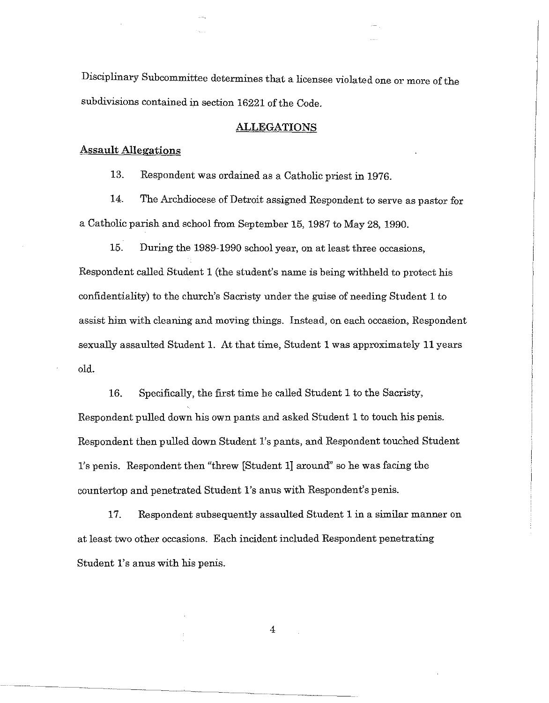Disciplinary Subcommittee determines that a licensee violated one or more of the subdivisions contained in section 16221 of the Code.

# ALLEGATIONS

# **Assault Allegations**

13. Respondent was ordained as a Catholic priest in 1976.

14. The Archdiocese of Detroit assigned Respondent to serve as pastor for a Catholic parish and school from September 15, 1987 to May 28, 1990.

15. During the 1989-1990 school year, on at least three occasions, Respondent called Student 1 (the student's name is being withheld to protect his confidentiality) to the church's Sacristy under the guise of needing Student 1 to assist him with cleaning and moving things. Instead, on each occasion, Respondent sexually assaulted Student 1. At that time, Student 1 was approximately 11 years old.

16. Specifically, the first time he called Student 1 to the Sacristy, Respondent pulled down his own pants and asked Student 1 to touch his penis. Respondent then pulled down Student l's pants, and Respondent touched Student l's penis. Respondent then "threw [Student 1] around" so he was facing the countertop and penetrated Student l's anus with Respondent's penis.

17. Respondent subsequently assaulted Student 1 in a similar manner on at least two other occasions. Each incident included Respondent penetrating Student l's anus with his penis.

4

------~--- -------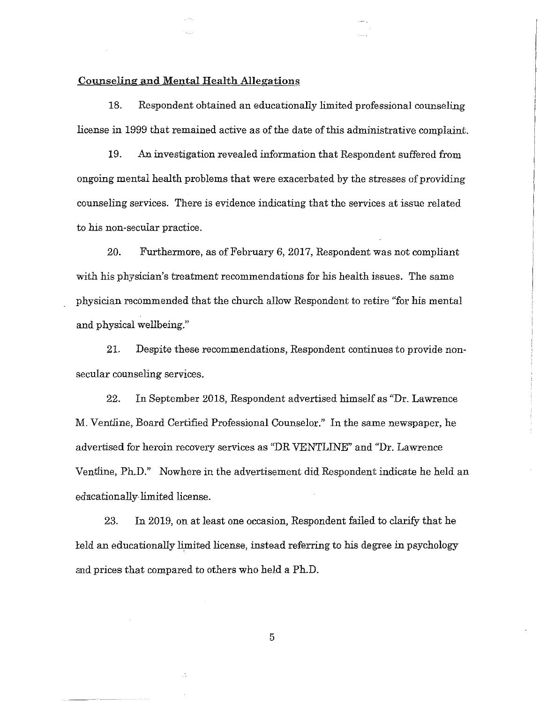## Counseling and Mental Health Allegations

18. Respondent obtained an educationally limited professional counseling license in 1999 that remained active as of the date of this administrative complaint.

19. An investigation revealed information that Respondent suffered from ongoing mental health problems that were exacerbated by the stresses of providing counseling services. There is evidence indicating that the services at issue related to his non-secular practice.

20. Furthermore, as of February 6, 2017, Respondent was not compliant with his physician's treatment recommendations for his health issues. The same physician recommended that the church allow Respondent to retire "for his mental and physical wellbeing."

21. Despite these recommendations, Respondent continues to provide nonsecular counseling services.

22. In September 2018, Respondent advertised himself as "Dr. Lawrence M. Ventiine, Board Certified Professional Counselor." In the same newspaper, he advertised for heroin recovery services as "DR VENTLINE" and "Dr. Lawrence Ventline, Ph.D." Nowhere in the advertisement did Respondent indicate he held an edncationally limited license.

23. In 2019, on at least one occasion, Respondent failed to clarify that he l:eld an educationally limited license, instead referring to his degree in psychology and prices that compared to others who held a Ph.D.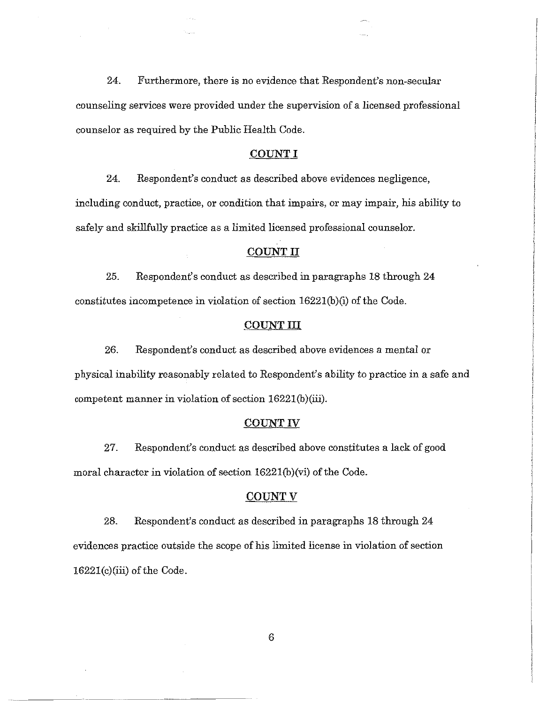24. Furthermore, there is no evidence that Respondent's non-secular counseling services were provided under the supervision of a licensed professional counselor as required by the Public Health Code.

### COUNT I

24. Respondent's conduct as described above evidences negligence, including conduct, practice, or condition that impairs, or may impair, his ability to safely and skillfully practice as a limited licensed professional counselor.

#### **COUNT** II

25. Respondent's conduct as described in paragraphs 18 through 24 constitutes incompetence in violation of section 1622l(b)(i) of the Code.

#### **COUNTIII**

26. Respondent's conduct as described above evidences a mental or physical inability reasonably related to Respondent's ability to practice in a safe and competent manner in violation of section 16221(b)(iii).

#### **COUNT** IV

27. Respondent's conduct as described above constitutes a lack of good moral character in violation of section 1622l(b)(vi) of the Code.

# **COUNTV**

28. Respondent's conduct as described in paragraphs 18 through 24 evidences practice outside the scope of his limited license in violation of section 1622l(c)(iii) of the Code.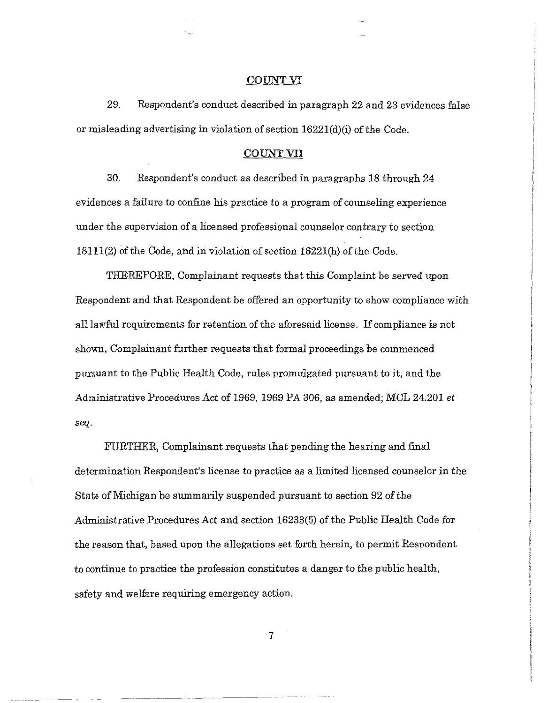#### **COUNT VI**

29. Respondent's conduct described in paragraph 22 and 23 evidences false or misleading advertising in violation of section 1622l(d)(i) of the Code.

### **COUNT VII**

30. Respondent's conduct as described in paragraphs 18 through 24 evidences a failure to confine his practice to a program of counseling experience under the supervision of a licensed professional counselor contrary to section 18111(2) of the Code, and in violation of section 1622l(h) of the Code.

THEREFORE, Complainant requests that this Complaint be served upon Respondent and that Respondent be offered an opportunity to show compliance with all lawful requirements for retention of the aforesaid license. If compliance is not shown, Complainant further requests that formal proceedings be commenced pursuant to the Public Health Code, rules promulgated pursuant to it, and the Administrative Procedures Act of 1969, 1969 PA 306, as amended; MCL 24.201 *et seq.* 

FURTHER, Complainant requests that pending the hearing and final determination Respondent's license to practice as a limited licensed counselor in the State of Michigan be summarily suspended pursuant to section 92 of the Administrative Procedures Act and section 16233(5) of the Public Health Code for the reason that, based upon the allegations set forth herein, to permit Respondent to continue to practice the profession constitutes a danger to the public health, safety and welfare requiring emergency action.